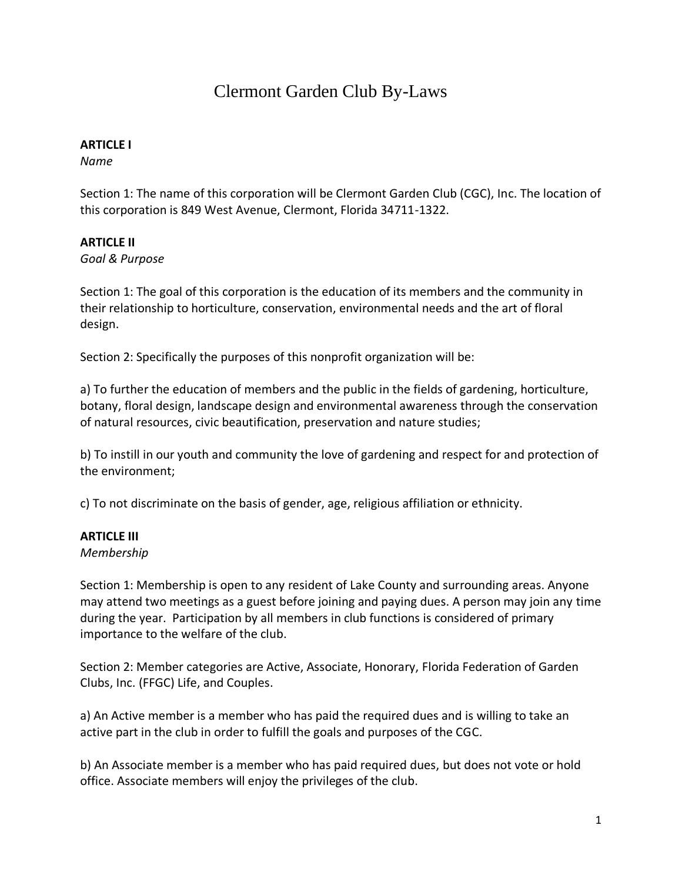# Clermont Garden Club By-Laws

## **ARTICLE I**

*Name* 

Section 1: The name of this corporation will be Clermont Garden Club (CGC), Inc. The location of this corporation is 849 West Avenue, Clermont, Florida 34711-1322.

## **ARTICLE II**

*Goal & Purpose* 

Section 1: The goal of this corporation is the education of its members and the community in their relationship to horticulture, conservation, environmental needs and the art of floral design.

Section 2: Specifically the purposes of this nonprofit organization will be:

a) To further the education of members and the public in the fields of gardening, horticulture, botany, floral design, landscape design and environmental awareness through the conservation of natural resources, civic beautification, preservation and nature studies;

b) To instill in our youth and community the love of gardening and respect for and protection of the environment;

c) To not discriminate on the basis of gender, age, religious affiliation or ethnicity.

# **ARTICLE III**

*Membership* 

Section 1: Membership is open to any resident of Lake County and surrounding areas. Anyone may attend two meetings as a guest before joining and paying dues. A person may join any time during the year. Participation by all members in club functions is considered of primary importance to the welfare of the club.

Section 2: Member categories are Active, Associate, Honorary, Florida Federation of Garden Clubs, Inc. (FFGC) Life, and Couples.

a) An Active member is a member who has paid the required dues and is willing to take an active part in the club in order to fulfill the goals and purposes of the CGC.

b) An Associate member is a member who has paid required dues, but does not vote or hold office. Associate members will enjoy the privileges of the club.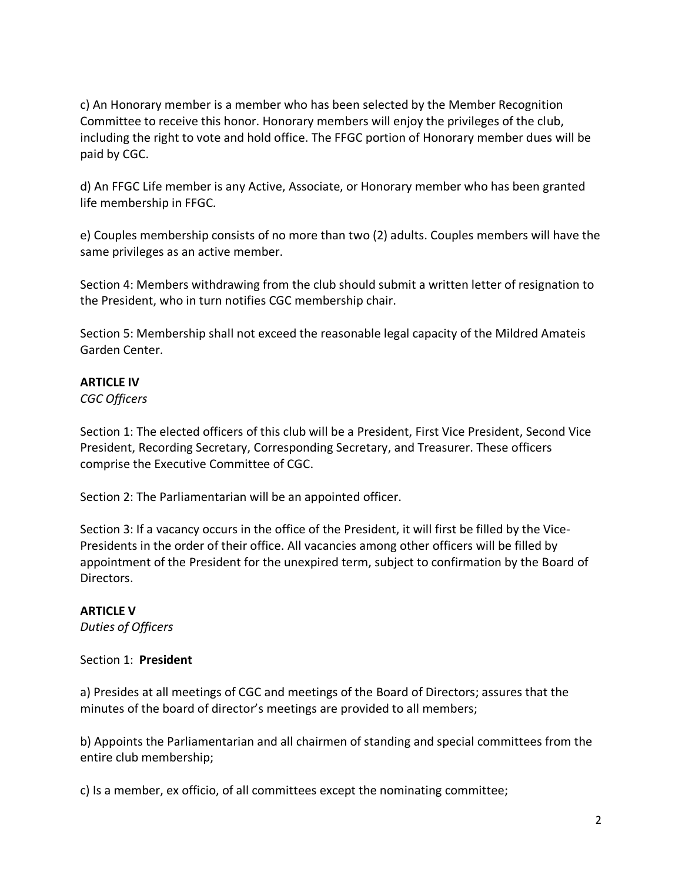c) An Honorary member is a member who has been selected by the Member Recognition Committee to receive this honor. Honorary members will enjoy the privileges of the club, including the right to vote and hold office. The FFGC portion of Honorary member dues will be paid by CGC.

d) An FFGC Life member is any Active, Associate, or Honorary member who has been granted life membership in FFGC.

e) Couples membership consists of no more than two (2) adults. Couples members will have the same privileges as an active member.

Section 4: Members withdrawing from the club should submit a written letter of resignation to the President, who in turn notifies CGC membership chair.

Section 5: Membership shall not exceed the reasonable legal capacity of the Mildred Amateis Garden Center.

# **ARTICLE IV**

*CGC Officers* 

Section 1: The elected officers of this club will be a President, First Vice President, Second Vice President, Recording Secretary, Corresponding Secretary, and Treasurer. These officers comprise the Executive Committee of CGC.

Section 2: The Parliamentarian will be an appointed officer.

Section 3: If a vacancy occurs in the office of the President, it will first be filled by the Vice-Presidents in the order of their office. All vacancies among other officers will be filled by appointment of the President for the unexpired term, subject to confirmation by the Board of Directors.

# **ARTICLE V**

*Duties of Officers* 

#### Section 1: **President**

a) Presides at all meetings of CGC and meetings of the Board of Directors; assures that the minutes of the board of director's meetings are provided to all members;

b) Appoints the Parliamentarian and all chairmen of standing and special committees from the entire club membership;

c) Is a member, ex officio, of all committees except the nominating committee;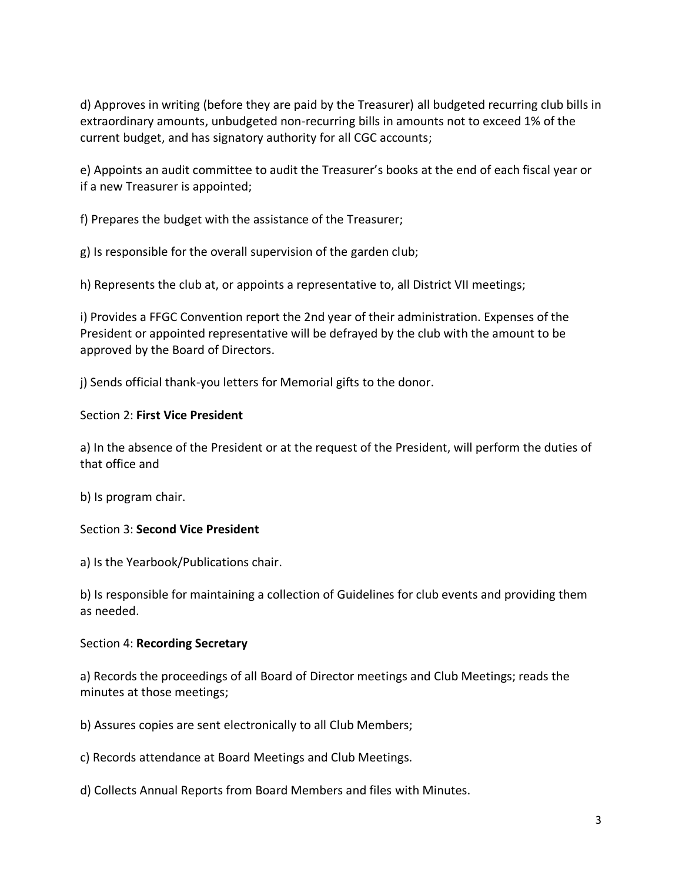d) Approves in writing (before they are paid by the Treasurer) all budgeted recurring club bills in extraordinary amounts, unbudgeted non-recurring bills in amounts not to exceed 1% of the current budget, and has signatory authority for all CGC accounts;

e) Appoints an audit committee to audit the Treasurer's books at the end of each fiscal year or if a new Treasurer is appointed;

f) Prepares the budget with the assistance of the Treasurer;

g) Is responsible for the overall supervision of the garden club;

h) Represents the club at, or appoints a representative to, all District VII meetings;

i) Provides a FFGC Convention report the 2nd year of their administration. Expenses of the President or appointed representative will be defrayed by the club with the amount to be approved by the Board of Directors.

j) Sends official thank-you letters for Memorial gifts to the donor.

#### Section 2: **First Vice President**

a) In the absence of the President or at the request of the President, will perform the duties of that office and

b) Is program chair.

# Section 3: **Second Vice President**

a) Is the Yearbook/Publications chair.

b) Is responsible for maintaining a collection of Guidelines for club events and providing them as needed.

#### Section 4: **Recording Secretary**

a) Records the proceedings of all Board of Director meetings and Club Meetings; reads the minutes at those meetings;

b) Assures copies are sent electronically to all Club Members;

c) Records attendance at Board Meetings and Club Meetings.

d) Collects Annual Reports from Board Members and files with Minutes.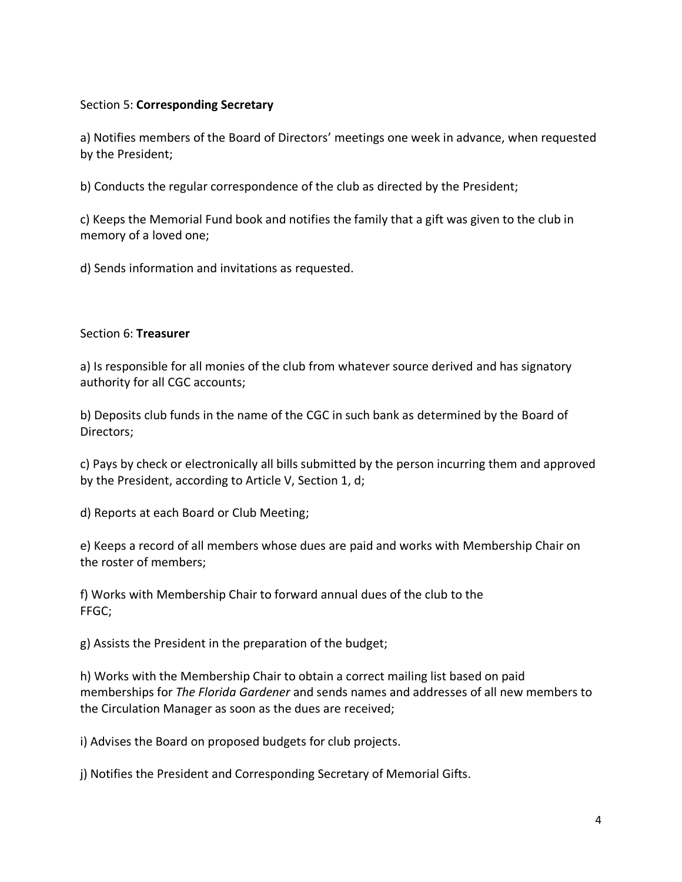## Section 5: **Corresponding Secretary**

a) Notifies members of the Board of Directors' meetings one week in advance, when requested by the President;

b) Conducts the regular correspondence of the club as directed by the President;

c) Keeps the Memorial Fund book and notifies the family that a gift was given to the club in memory of a loved one;

d) Sends information and invitations as requested.

#### Section 6: **Treasurer**

a) Is responsible for all monies of the club from whatever source derived and has signatory authority for all CGC accounts;

b) Deposits club funds in the name of the CGC in such bank as determined by the Board of Directors;

c) Pays by check or electronically all bills submitted by the person incurring them and approved by the President, according to Article V, Section 1, d;

d) Reports at each Board or Club Meeting;

e) Keeps a record of all members whose dues are paid and works with Membership Chair on the roster of members;

f) Works with Membership Chair to forward annual dues of the club to the FFGC;

g) Assists the President in the preparation of the budget;

h) Works with the Membership Chair to obtain a correct mailing list based on paid memberships for *The Florida Gardener* and sends names and addresses of all new members to the Circulation Manager as soon as the dues are received;

i) Advises the Board on proposed budgets for club projects.

j) Notifies the President and Corresponding Secretary of Memorial Gifts.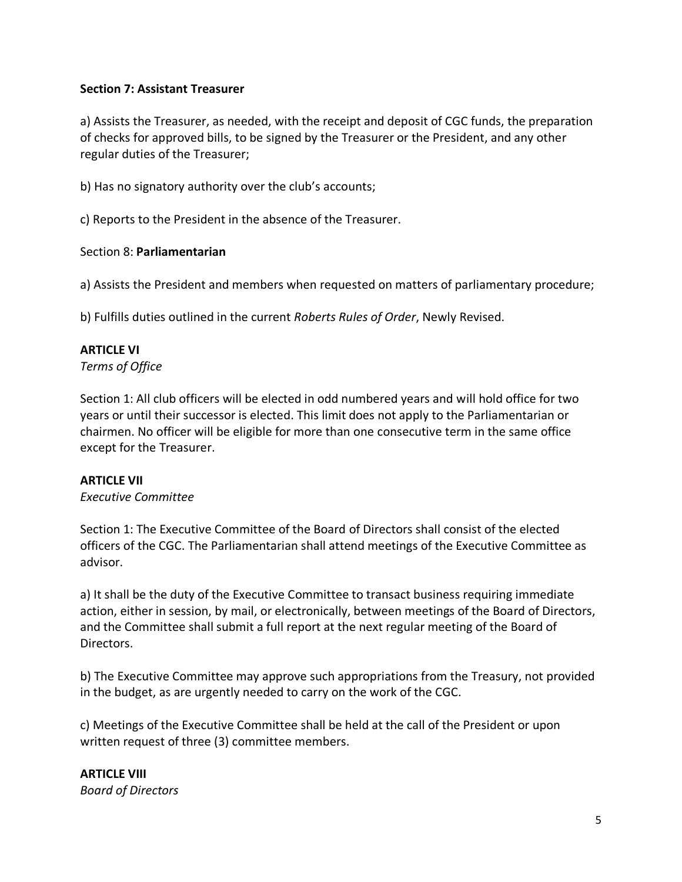## **Section 7: Assistant Treasurer**

a) Assists the Treasurer, as needed, with the receipt and deposit of CGC funds, the preparation of checks for approved bills, to be signed by the Treasurer or the President, and any other regular duties of the Treasurer;

b) Has no signatory authority over the club's accounts;

c) Reports to the President in the absence of the Treasurer.

#### Section 8: **Parliamentarian**

a) Assists the President and members when requested on matters of parliamentary procedure;

b) Fulfills duties outlined in the current *Roberts Rules of Order*, Newly Revised.

## **ARTICLE VI**

*Terms of Office* 

Section 1: All club officers will be elected in odd numbered years and will hold office for two years or until their successor is elected. This limit does not apply to the Parliamentarian or chairmen. No officer will be eligible for more than one consecutive term in the same office except for the Treasurer.

#### **ARTICLE VII**

*Executive Committee*

Section 1: The Executive Committee of the Board of Directors shall consist of the elected officers of the CGC. The Parliamentarian shall attend meetings of the Executive Committee as advisor.

a) It shall be the duty of the Executive Committee to transact business requiring immediate action, either in session, by mail, or electronically, between meetings of the Board of Directors, and the Committee shall submit a full report at the next regular meeting of the Board of Directors.

b) The Executive Committee may approve such appropriations from the Treasury, not provided in the budget, as are urgently needed to carry on the work of the CGC.

c) Meetings of the Executive Committee shall be held at the call of the President or upon written request of three (3) committee members.

**ARTICLE VIII**  *Board of Directors*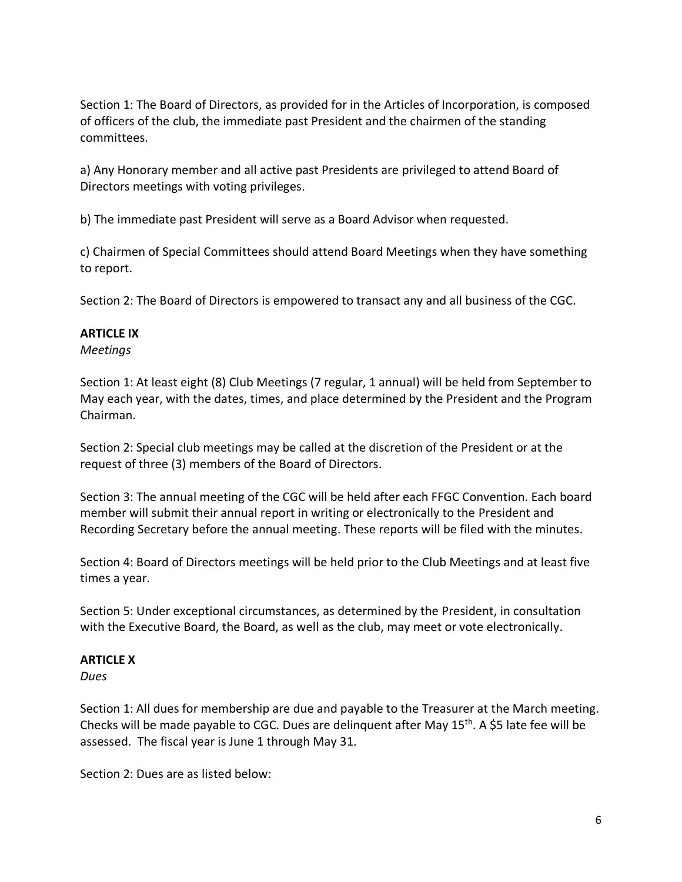Section 1: The Board of Directors, as provided for in the Articles of Incorporation, is composed of officers of the club, the immediate past President and the chairmen of the standing committees.

a) Any Honorary member and all active past Presidents are privileged to attend Board of Directors meetings with voting privileges.

b) The immediate past President will serve as a Board Advisor when requested.

c) Chairmen of Special Committees should attend Board Meetings when they have something to report.

Section 2: The Board of Directors is empowered to transact any and all business of the CGC.

## **ARTICLE IX**

*Meetings* 

Section 1: At least eight (8) Club Meetings (7 regular, 1 annual) will be held from September to May each year, with the dates, times, and place determined by the President and the Program Chairman.

Section 2: Special club meetings may be called at the discretion of the President or at the request of three (3) members of the Board of Directors.

Section 3: The annual meeting of the CGC will be held after each FFGC Convention. Each board member will submit their annual report in writing or electronically to the President and Recording Secretary before the annual meeting. These reports will be filed with the minutes.

Section 4: Board of Directors meetings will be held prior to the Club Meetings and at least five times a year.

Section 5: Under exceptional circumstances, as determined by the President, in consultation with the Executive Board, the Board, as well as the club, may meet or vote electronically.

#### **ARTICLE X**

*Dues* 

Section 1: All dues for membership are due and payable to the Treasurer at the March meeting. Checks will be made payable to CGC. Dues are delinquent after May 15<sup>th</sup>. A \$5 late fee will be assessed. The fiscal year is June 1 through May 31.

Section 2: Dues are as listed below: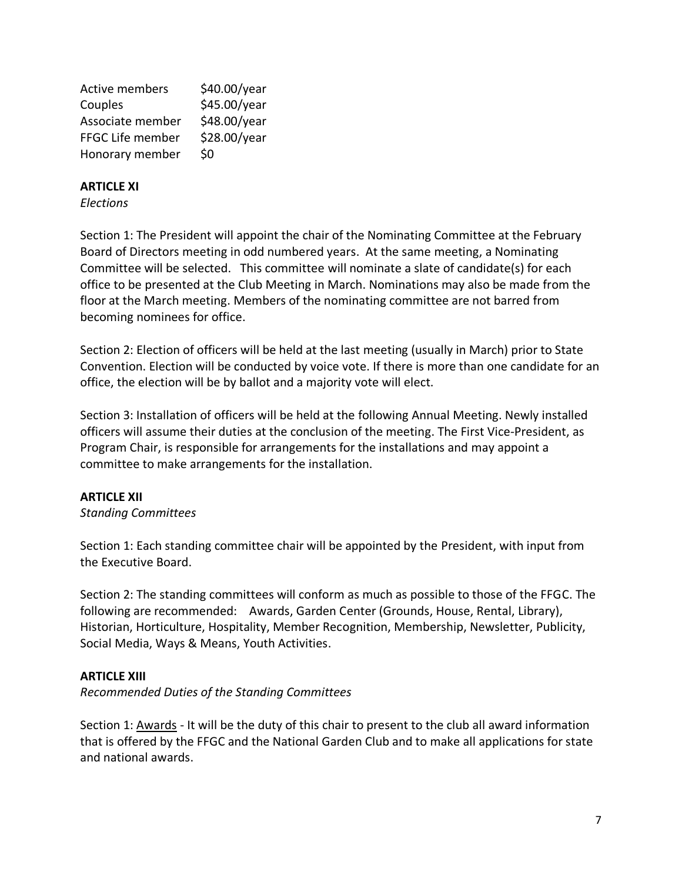| <b>Active members</b> | \$40.00/year |
|-----------------------|--------------|
| Couples               | \$45.00/year |
| Associate member      | \$48.00/year |
| FFGC Life member      | \$28.00/year |
| Honorary member       | \$0          |

#### **ARTICLE XI**

*Elections*

Section 1: The President will appoint the chair of the Nominating Committee at the February Board of Directors meeting in odd numbered years. At the same meeting, a Nominating Committee will be selected. This committee will nominate a slate of candidate(s) for each office to be presented at the Club Meeting in March. Nominations may also be made from the floor at the March meeting. Members of the nominating committee are not barred from becoming nominees for office.

Section 2: Election of officers will be held at the last meeting (usually in March) prior to State Convention. Election will be conducted by voice vote. If there is more than one candidate for an office, the election will be by ballot and a majority vote will elect.

Section 3: Installation of officers will be held at the following Annual Meeting. Newly installed officers will assume their duties at the conclusion of the meeting. The First Vice-President, as Program Chair, is responsible for arrangements for the installations and may appoint a committee to make arrangements for the installation.

#### **ARTICLE XII**

*Standing Committees*

Section 1: Each standing committee chair will be appointed by the President, with input from the Executive Board.

Section 2: The standing committees will conform as much as possible to those of the FFGC. The following are recommended: Awards, Garden Center (Grounds, House, Rental, Library), Historian, Horticulture, Hospitality, Member Recognition, Membership, Newsletter, Publicity, Social Media, Ways & Means, Youth Activities.

# **ARTICLE XIII**

*Recommended Duties of the Standing Committees*

Section 1: Awards - It will be the duty of this chair to present to the club all award information that is offered by the FFGC and the National Garden Club and to make all applications for state and national awards.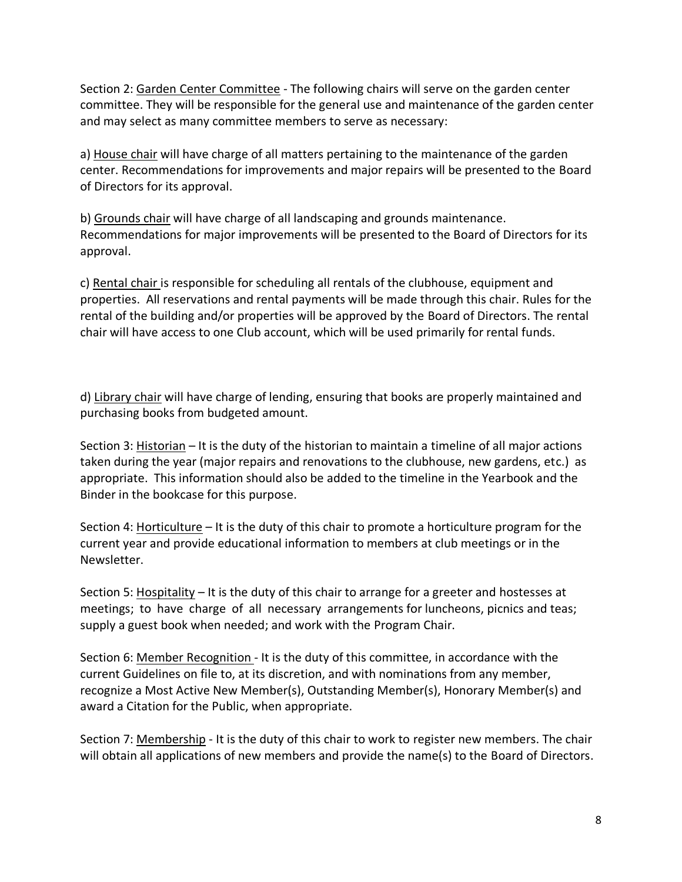Section 2: Garden Center Committee - The following chairs will serve on the garden center committee. They will be responsible for the general use and maintenance of the garden center and may select as many committee members to serve as necessary:

a) House chair will have charge of all matters pertaining to the maintenance of the garden center. Recommendations for improvements and major repairs will be presented to the Board of Directors for its approval.

b) Grounds chair will have charge of all landscaping and grounds maintenance. Recommendations for major improvements will be presented to the Board of Directors for its approval.

c) Rental chair is responsible for scheduling all rentals of the clubhouse, equipment and properties. All reservations and rental payments will be made through this chair. Rules for the rental of the building and/or properties will be approved by the Board of Directors. The rental chair will have access to one Club account, which will be used primarily for rental funds.

d) Library chair will have charge of lending, ensuring that books are properly maintained and purchasing books from budgeted amount.

Section 3: Historian – It is the duty of the historian to maintain a timeline of all major actions taken during the year (major repairs and renovations to the clubhouse, new gardens, etc.) as appropriate. This information should also be added to the timeline in the Yearbook and the Binder in the bookcase for this purpose.

Section 4: Horticulture – It is the duty of this chair to promote a horticulture program for the current year and provide educational information to members at club meetings or in the Newsletter.

Section 5: Hospitality – It is the duty of this chair to arrange for a greeter and hostesses at meetings; to have charge of all necessary arrangements for luncheons, picnics and teas; supply a guest book when needed; and work with the Program Chair.

Section 6: Member Recognition - It is the duty of this committee, in accordance with the current Guidelines on file to, at its discretion, and with nominations from any member, recognize a Most Active New Member(s), Outstanding Member(s), Honorary Member(s) and award a Citation for the Public, when appropriate.

Section 7: Membership - It is the duty of this chair to work to register new members. The chair will obtain all applications of new members and provide the name(s) to the Board of Directors.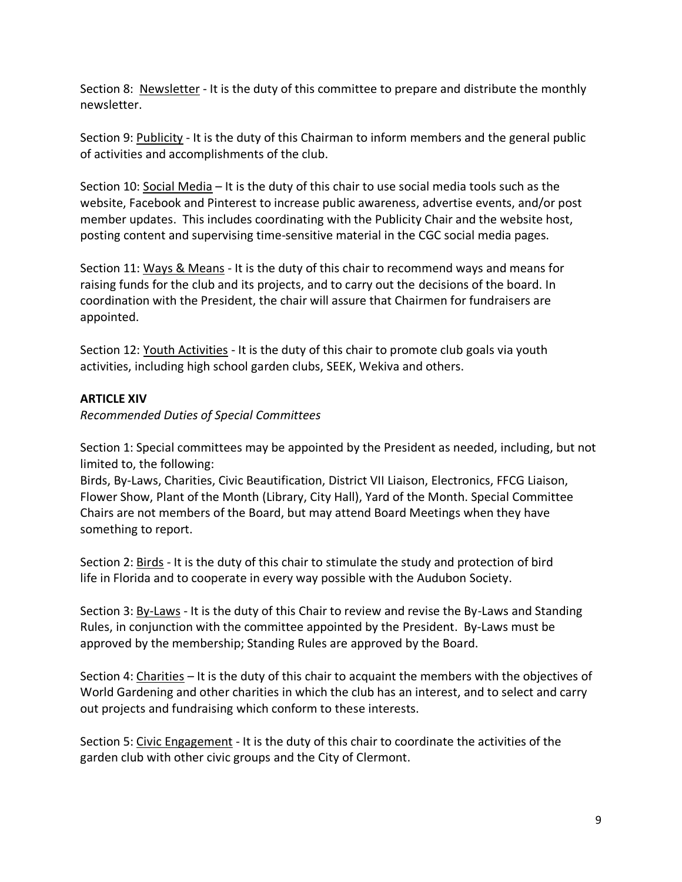Section 8: Newsletter - It is the duty of this committee to prepare and distribute the monthly newsletter.

Section 9: Publicity - It is the duty of this Chairman to inform members and the general public of activities and accomplishments of the club.

Section 10: Social Media – It is the duty of this chair to use social media tools such as the website, Facebook and Pinterest to increase public awareness, advertise events, and/or post member updates. This includes coordinating with the Publicity Chair and the website host, posting content and supervising time-sensitive material in the CGC social media pages.

Section 11: Ways & Means - It is the duty of this chair to recommend ways and means for raising funds for the club and its projects, and to carry out the decisions of the board. In coordination with the President, the chair will assure that Chairmen for fundraisers are appointed.

Section 12: Youth Activities - It is the duty of this chair to promote club goals via youth activities, including high school garden clubs, SEEK, Wekiva and others.

# **ARTICLE XIV**

*Recommended Duties of Special Committees* 

Section 1: Special committees may be appointed by the President as needed, including, but not limited to, the following:

Birds, By-Laws, Charities, Civic Beautification, District VII Liaison, Electronics, FFCG Liaison, Flower Show, Plant of the Month (Library, City Hall), Yard of the Month. Special Committee Chairs are not members of the Board, but may attend Board Meetings when they have something to report.

Section 2: Birds - It is the duty of this chair to stimulate the study and protection of bird life in Florida and to cooperate in every way possible with the Audubon Society.

Section 3: By-Laws - It is the duty of this Chair to review and revise the By-Laws and Standing Rules, in conjunction with the committee appointed by the President. By-Laws must be approved by the membership; Standing Rules are approved by the Board.

Section 4: Charities – It is the duty of this chair to acquaint the members with the objectives of World Gardening and other charities in which the club has an interest, and to select and carry out projects and fundraising which conform to these interests.

Section 5: Civic Engagement - It is the duty of this chair to coordinate the activities of the garden club with other civic groups and the City of Clermont.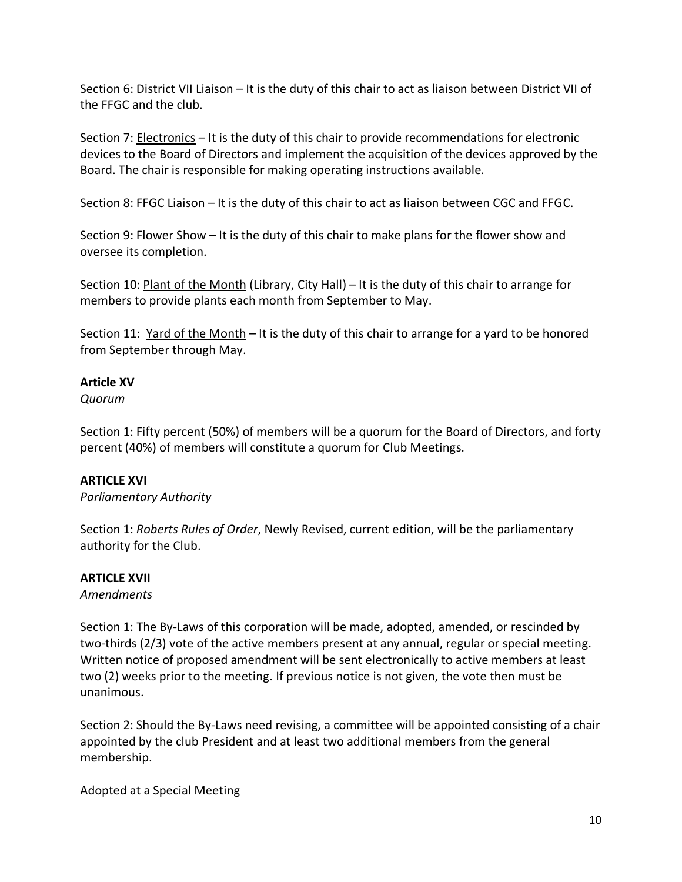Section 6: District VII Liaison – It is the duty of this chair to act as liaison between District VII of the FFGC and the club.

Section 7: Electronics – It is the duty of this chair to provide recommendations for electronic devices to the Board of Directors and implement the acquisition of the devices approved by the Board. The chair is responsible for making operating instructions available.

Section 8: FFGC Liaison – It is the duty of this chair to act as liaison between CGC and FFGC.

Section 9: Flower Show – It is the duty of this chair to make plans for the flower show and oversee its completion.

Section 10: Plant of the Month (Library, City Hall) – It is the duty of this chair to arrange for members to provide plants each month from September to May.

Section 11: Yard of the Month - It is the duty of this chair to arrange for a yard to be honored from September through May.

# **Article XV**

*Quorum* 

Section 1: Fifty percent (50%) of members will be a quorum for the Board of Directors, and forty percent (40%) of members will constitute a quorum for Club Meetings.

# **ARTICLE XVI**

*Parliamentary Authority* 

Section 1: *Roberts Rules of Order*, Newly Revised, current edition, will be the parliamentary authority for the Club.

# **ARTICLE XVII**

*Amendments* 

Section 1: The By-Laws of this corporation will be made, adopted, amended, or rescinded by two-thirds (2/3) vote of the active members present at any annual, regular or special meeting. Written notice of proposed amendment will be sent electronically to active members at least two (2) weeks prior to the meeting. If previous notice is not given, the vote then must be unanimous.

Section 2: Should the By-Laws need revising, a committee will be appointed consisting of a chair appointed by the club President and at least two additional members from the general membership.

Adopted at a Special Meeting